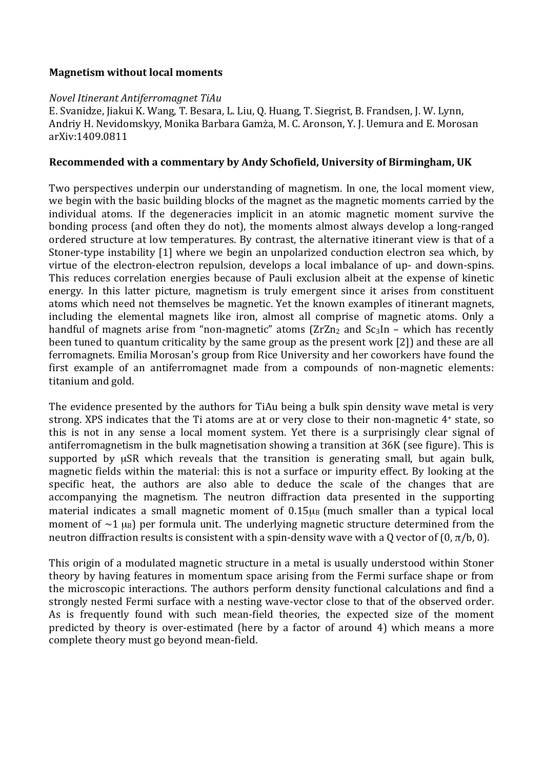## **Magnetism without local moments**

## Novel Itinerant Antiferromagnet TiAu

E. Svanidze, Jiakui K. Wang, T. Besara, L. Liu, Q. Huang, T. Siegrist, B. Frandsen, J. W. Lynn, Andriy H. Nevidomskyy, Monika Barbara Gamza, M. C. Aronson, Y. J. Uemura and E. Morosan arXiv:1409.0811

## Recommended with a commentary by Andy Schofield, University of Birmingham, UK

Two perspectives underpin our understanding of magnetism. In one, the local moment view, we begin with the basic building blocks of the magnet as the magnetic moments carried by the individual atoms. If the degeneracies implicit in an atomic magnetic moment survive the bonding process (and often they do not), the moments almost always develop a long-ranged ordered structure at low temperatures. By contrast, the alternative itinerant view is that of a Stoner-type instability [1] where we begin an unpolarized conduction electron sea which, by virtue of the electron-electron repulsion, develops a local imbalance of up- and down-spins. This reduces correlation energies because of Pauli exclusion albeit at the expense of kinetic energy. In this latter picture, magnetism is truly emergent since it arises from constituent atoms which need not themselves be magnetic. Yet the known examples of itinerant magnets, including the elemental magnets like iron, almost all comprise of magnetic atoms. Only a handful of magnets arise from "non-magnetic" atoms  $\left(2rZn_2\right)$  and  $Sc_3In$  – which has recently been tuned to quantum criticality by the same group as the present work [2]) and these are all ferromagnets. Emilia Morosan's group from Rice University and her coworkers have found the first example of an antiferromagnet made from a compounds of non-magnetic elements: titanium and gold.

The evidence presented by the authors for TiAu being a bulk spin density wave metal is very strong. XPS indicates that the Ti atoms are at or very close to their non-magnetic 4<sup>+</sup> state, so this is not in any sense a local moment system. Yet there is a surprisingly clear signal of antiferromagnetism in the bulk magnetisation showing a transition at 36K (see figure). This is supported by uSR which reveals that the transition is generating small, but again bulk, magnetic fields within the material: this is not a surface or impurity effect. By looking at the specific heat, the authors are also able to deduce the scale of the changes that are accompanying the magnetism. The neutron diffraction data presented in the supporting material indicates a small magnetic moment of  $0.15\mu$ <sub>B</sub> (much smaller than a typical local moment of  $\sim$ 1  $\mu$ <sub>B</sub>) per formula unit. The underlying magnetic structure determined from the neutron diffraction results is consistent with a spin-density wave with a 0 vector of  $(0, \pi/b, 0)$ .

This origin of a modulated magnetic structure in a metal is usually understood within Stoner theory by having features in momentum space arising from the Fermi surface shape or from the microscopic interactions. The authors perform density functional calculations and find a strongly nested Fermi surface with a nesting wave-vector close to that of the observed order. As is frequently found with such mean-field theories, the expected size of the moment predicted by theory is over-estimated (here by a factor of around 4) which means a more complete theory must go beyond mean-field.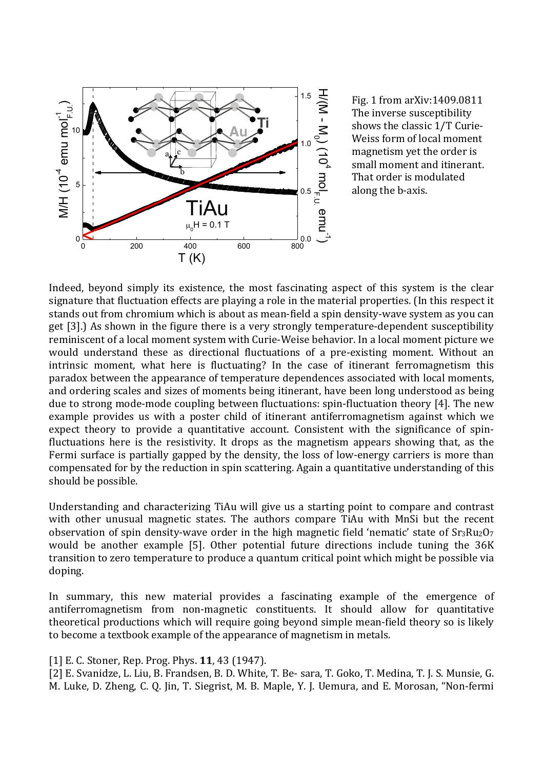

Fig. 1 from arXiv:1409.0811 The inverse susceptibility shows the classic 1/T Curie-Weiss form of local moment magnetism yet the order is small moment and itinerant. That order is modulated along the b-axis.

Indeed, beyond simply its existence, the most fascinating aspect of this system is the clear signature that fluctuation effects are playing a role in the material properties. (In this respect it stands out from chromium which is about as mean-field a spin density-wave system as you can get [3].) As shown in the figure there is a very strongly temperature-dependent susceptibility reminiscent of a local moment system with Curie-Weise behavior. In a local moment picture we would understand these as directional fluctuations of a pre-existing moment. Without an intrinsic moment, what here is fluctuating? In the case of itinerant ferromagnetism this paradox between the appearance of temperature dependences associated with local moments, and ordering scales and sizes of moments being itinerant, have been long understood as being due to strong mode-mode coupling between fluctuations: spin-fluctuation theory [4]. The new example provides us with a poster child of itinerant antiferromagnetism against which we expect theory to provide a quantitative account. Consistent with the significance of spinfluctuations here is the resistivity. It drops as the magnetism appears showing that, as the Fermi surface is partially gapped by the density, the loss of low-energy carriers is more than compensated for by the reduction in spin scattering. Again a quantitative understanding of this should be possible.

Understanding and characterizing TiAu will give us a starting point to compare and contrast with other unusual magnetic states. The authors compare TiAu with MnSi but the recent observation of spin density-wave order in the high magnetic field 'nematic' state of  $Sr_3Ru_2O_7$ would be another example [5]. Other potential future directions include tuning the 36K transition to zero temperature to produce a quantum critical point which might be possible via doping.

In summary, this new material provides a fascinating example of the emergence of antiferromagnetism from non-magnetic constituents. It should allow for quantitative theoretical productions which will require going beyond simple mean-field theory so is likely to become a textbook example of the appearance of magnetism in metals.

[1] E. C. Stoner, Rep. Prog. Phys. **11**, 43 (1947).

[2] E. Svanidze, L. Liu, B. Frandsen, B. D. White, T. Be- sara, T. Goko, T. Medina, T. J. S. Munsie, G. M. Luke, D. Zheng, C. Q. Jin, T. Siegrist, M. B. Maple, Y. J. Uemura, and E. Morosan, "Non-fermi